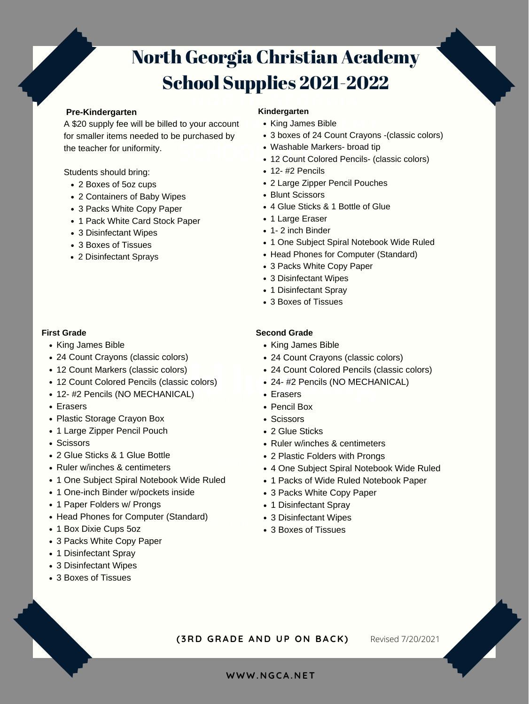**WWW. N GCA. N ET**

## **NORT H GEORGIA** North Georgia Christian Academy School Supplies 2021-2022

- 
- 3 boxes of 24 Count Crayons -(classic colors)
- Washable Markers- broad tip
- Washable Markers- broad tip<br>
12 Count Colored Pencils- (classic colors)
	- $\cdot$  12- #2 Pencils
	- 2 Large Zipper Pencil Pouches
	- Blunt Scissors
	- 4 Glue Sticks & 1 Bottle of Glue
	- 1 Large Eraser
	- 1- 2 inch Binder
	- 1 One Subject Spiral Notebook Wide Ruled
	- Head Phones for Computer (Standard)
	- 3 Packs White Copy Paper
	- 3 Disinfectant Wipes
	- 1 Disinfectant Spray
	- 3 Boxes of Tissues

**C H RI STIA N ACA D E M Y** King James Bible A \$20 supply fee will be billed to your account for smaller items needed to be purchased by the teacher for uniformity.

- King James Bible
- 24 Count Crayons (classic colors)
- 

#### **Kindergarten**

- 2 Boxes of 5oz cups
- 2 Containers of Baby Wipes
- 3 Packs White Copy Paper
- 1 Pack White Card Stock Paper
- 3 Disinfectant Wipes
- 3 Boxes of Tissues
- 2 Disinfectant Sprays

- 12 Count Markers (classic colors)
- 12 Count Colored Pencils (classic colors)
- 12- #2 Pencils (NO MECHANICAL)
- Erasers
- Plastic Storage Crayon Box
- 1 Large Zipper Pencil Pouch
- Scissors
- 2 Glue Sticks & 1 Glue Bottle
- Ruler w/inches & centimeters
- 1 One Subject Spiral Notebook Wide Ruled
- 1 One-inch Binder w/pockets inside
- 1 Paper Folders w/ Prongs
- Head Phones for Computer (Standard)
- 1 Box Dixie Cups 5oz
- 3 Packs White Copy Paper
- 1 Disinfectant Spray
- 3 Disinfectant Wipes
- 3 Boxes of Tissues
- King James Bible
- 24 Count Crayons (classic colors)
- 

#### **Pre-Kindergarten**

Students should bring:

- Add heading 24 Count Colored Pencils (classic colors) • 24- #2 Pencils (NO MECHANICAL)
	- Michelle **Anders**<br>Erasers
		- Pencil Box
		- Scissors
		- 2 Glue Sticks
		- Ruler w/inches & centimeters
		- George Z Plasuc Fo 2 Plastic Folders with Prongs
			- 4 One Subject Spiral Notebook Wide Ruled
			- 1 Packs of Wide Ruled Notebook Paper
			- 3 Packs White Copy Paper
			- 1 Disinfectant Spray
		- **8 Disinfectant Wipes**<br>3 Devee of Tiesues
			- 3 Boxes of Tissues

#### **First Grade**

#### **Second Grade**

**( 3R D GRA D E A N D U P ON BACK)** Revised 7/20/2021